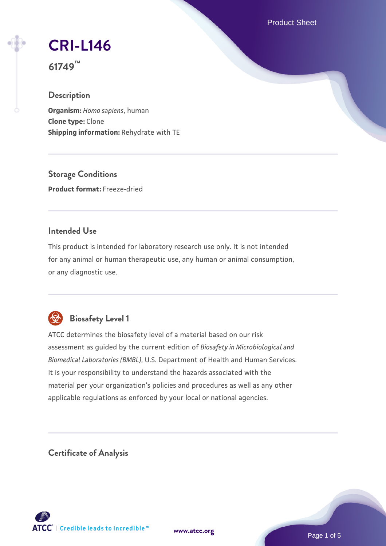Product Sheet

# **[CRI-L146](https://www.atcc.org/products/61749)**

**61749™**

# **Description**

**Organism:** *Homo sapiens*, human **Clone type:** Clone **Shipping information:** Rehydrate with TE

**Storage Conditions Product format:** Freeze-dried

## **Intended Use**

This product is intended for laboratory research use only. It is not intended for any animal or human therapeutic use, any human or animal consumption, or any diagnostic use.



# **Biosafety Level 1**

ATCC determines the biosafety level of a material based on our risk assessment as guided by the current edition of *Biosafety in Microbiological and Biomedical Laboratories (BMBL)*, U.S. Department of Health and Human Services. It is your responsibility to understand the hazards associated with the material per your organization's policies and procedures as well as any other applicable regulations as enforced by your local or national agencies.

**Certificate of Analysis**

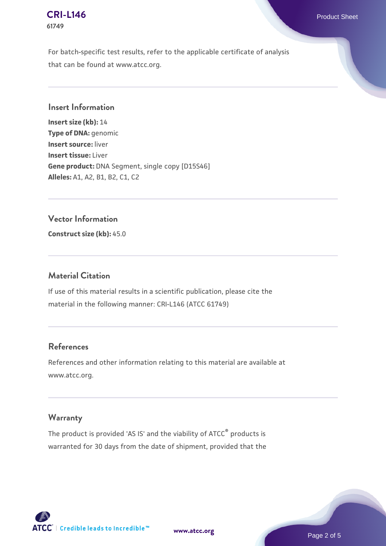#### **[CRI-L146](https://www.atcc.org/products/61749)** Product Sheet **61749**

For batch-specific test results, refer to the applicable certificate of analysis that can be found at www.atcc.org.

#### **Insert Information**

**Insert size (kb):** 14 **Type of DNA:** genomic **Insert source:** liver **Insert tissue:** Liver **Gene product:** DNA Segment, single copy [D15S46] **Alleles:** A1, A2, B1, B2, C1, C2

#### **Vector Information**

**Construct size (kb):** 45.0

#### **Material Citation**

If use of this material results in a scientific publication, please cite the material in the following manner: CRI-L146 (ATCC 61749)

#### **References**

References and other information relating to this material are available at www.atcc.org.

## **Warranty**

The product is provided 'AS IS' and the viability of ATCC® products is warranted for 30 days from the date of shipment, provided that the

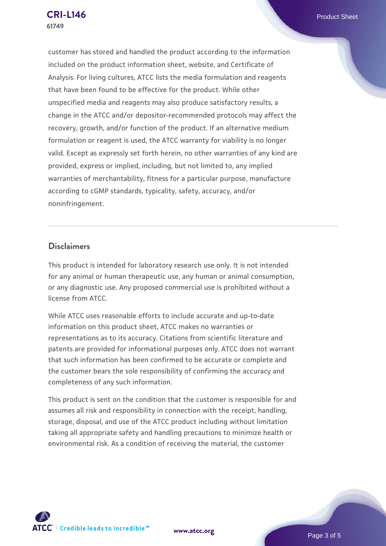customer has stored and handled the product according to the information included on the product information sheet, website, and Certificate of Analysis. For living cultures, ATCC lists the media formulation and reagents that have been found to be effective for the product. While other unspecified media and reagents may also produce satisfactory results, a change in the ATCC and/or depositor-recommended protocols may affect the recovery, growth, and/or function of the product. If an alternative medium formulation or reagent is used, the ATCC warranty for viability is no longer valid. Except as expressly set forth herein, no other warranties of any kind are provided, express or implied, including, but not limited to, any implied warranties of merchantability, fitness for a particular purpose, manufacture according to cGMP standards, typicality, safety, accuracy, and/or noninfringement.

#### **Disclaimers**

This product is intended for laboratory research use only. It is not intended for any animal or human therapeutic use, any human or animal consumption, or any diagnostic use. Any proposed commercial use is prohibited without a license from ATCC.

While ATCC uses reasonable efforts to include accurate and up-to-date information on this product sheet, ATCC makes no warranties or representations as to its accuracy. Citations from scientific literature and patents are provided for informational purposes only. ATCC does not warrant that such information has been confirmed to be accurate or complete and the customer bears the sole responsibility of confirming the accuracy and completeness of any such information.

This product is sent on the condition that the customer is responsible for and assumes all risk and responsibility in connection with the receipt, handling, storage, disposal, and use of the ATCC product including without limitation taking all appropriate safety and handling precautions to minimize health or environmental risk. As a condition of receiving the material, the customer



**[www.atcc.org](http://www.atcc.org)**

Page 3 of 5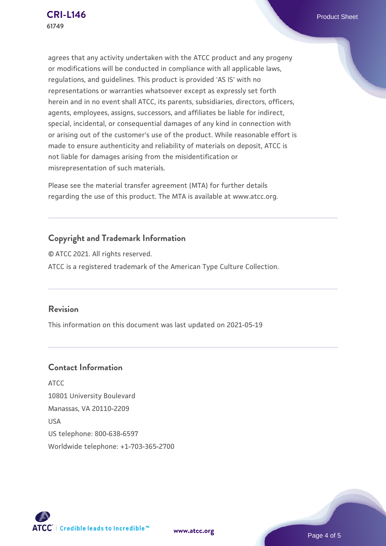agrees that any activity undertaken with the ATCC product and any progeny or modifications will be conducted in compliance with all applicable laws, regulations, and guidelines. This product is provided 'AS IS' with no representations or warranties whatsoever except as expressly set forth herein and in no event shall ATCC, its parents, subsidiaries, directors, officers, agents, employees, assigns, successors, and affiliates be liable for indirect, special, incidental, or consequential damages of any kind in connection with or arising out of the customer's use of the product. While reasonable effort is made to ensure authenticity and reliability of materials on deposit, ATCC is not liable for damages arising from the misidentification or misrepresentation of such materials.

Please see the material transfer agreement (MTA) for further details regarding the use of this product. The MTA is available at www.atcc.org.

# **Copyright and Trademark Information**

© ATCC 2021. All rights reserved. ATCC is a registered trademark of the American Type Culture Collection.

#### **Revision**

This information on this document was last updated on 2021-05-19

# **Contact Information**

ATCC 10801 University Boulevard Manassas, VA 20110-2209 USA US telephone: 800-638-6597 Worldwide telephone: +1-703-365-2700